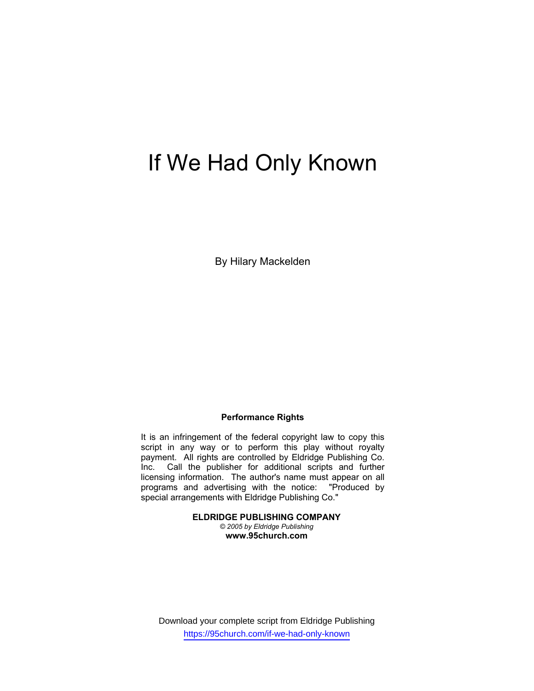# If We Had Only Known

By Hilary Mackelden

## **Performance Rights**

It is an infringement of the federal copyright law to copy this script in any way or to perform this play without royalty payment. All rights are controlled by Eldridge Publishing Co. Inc. Call the publisher for additional scripts and further licensing information. The author's name must appear on all programs and advertising with the notice: "Produced by special arrangements with Eldridge Publishing Co."

> **ELDRIDGE PUBLISHING COMPANY**  *© 2005 by Eldridge Publishing*  **www.95church.com**

Download your complete script from Eldridge Publishing https://95church.com/if-we-had-only-known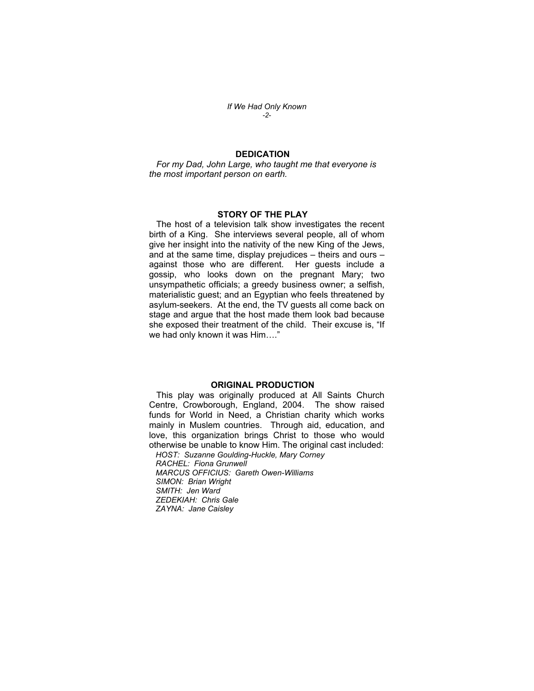*If We Had Only Known -2-* 

## **DEDICATION**

 *For my Dad, John Large, who taught me that everyone is the most important person on earth.* 

### **STORY OF THE PLAY**

 The host of a television talk show investigates the recent birth of a King. She interviews several people, all of whom give her insight into the nativity of the new King of the Jews, and at the same time, display prejudices – theirs and ours – against those who are different. Her guests include a gossip, who looks down on the pregnant Mary; two unsympathetic officials; a greedy business owner; a selfish, materialistic guest; and an Egyptian who feels threatened by asylum-seekers. At the end, the TV guests all come back on stage and argue that the host made them look bad because she exposed their treatment of the child. Their excuse is, "If we had only known it was Him…."

### **ORIGINAL PRODUCTION**

 This play was originally produced at All Saints Church Centre, Crowborough, England, 2004. The show raised funds for World in Need, a Christian charity which works mainly in Muslem countries. Through aid, education, and love, this organization brings Christ to those who would otherwise be unable to know Him. The original cast included:

 *HOST: Suzanne Goulding-Huckle, Mary Corney RACHEL: Fiona Grunwell MARCUS OFFICIUS: Gareth Owen-Williams SIMON: Brian Wright SMITH: Jen Ward ZEDEKIAH: Chris Gale ZAYNA: Jane Caisley*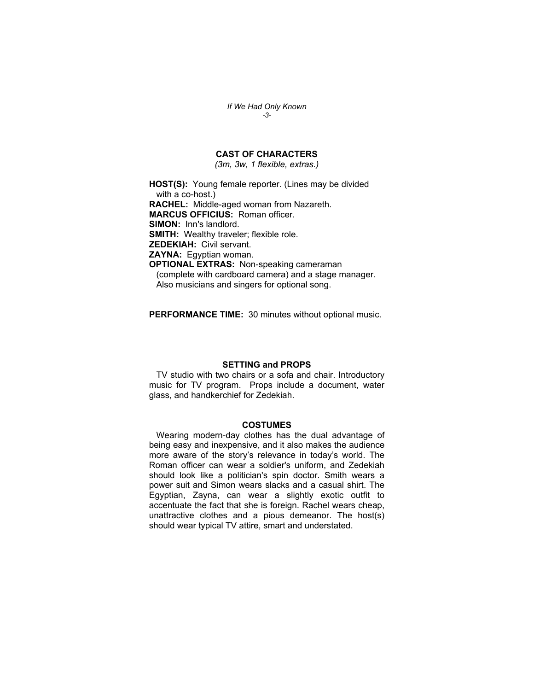*If We Had Only Known -3-* 

## **CAST OF CHARACTERS**

*(3m, 3w, 1 flexible, extras.)* 

**HOST(S):** Young female reporter. (Lines may be divided with a co-host.) **RACHEL:** Middle-aged woman from Nazareth. **MARCUS OFFICIUS:** Roman officer. **SIMON:** Inn's landlord. **SMITH:** Wealthy traveler; flexible role. **ZEDEKIAH:** Civil servant. **ZAYNA:** Egyptian woman. **OPTIONAL EXTRAS:** Non-speaking cameraman (complete with cardboard camera) and a stage manager. Also musicians and singers for optional song.

**PERFORMANCE TIME:** 30 minutes without optional music.

## **SETTING and PROPS**

 TV studio with two chairs or a sofa and chair. Introductory music for TV program. Props include a document, water glass, and handkerchief for Zedekiah.

#### **COSTUMES**

 Wearing modern-day clothes has the dual advantage of being easy and inexpensive, and it also makes the audience more aware of the story's relevance in today's world. The Roman officer can wear a soldier's uniform, and Zedekiah should look like a politician's spin doctor. Smith wears a power suit and Simon wears slacks and a casual shirt. The Egyptian, Zayna, can wear a slightly exotic outfit to accentuate the fact that she is foreign. Rachel wears cheap, unattractive clothes and a pious demeanor. The host(s) should wear typical TV attire, smart and understated.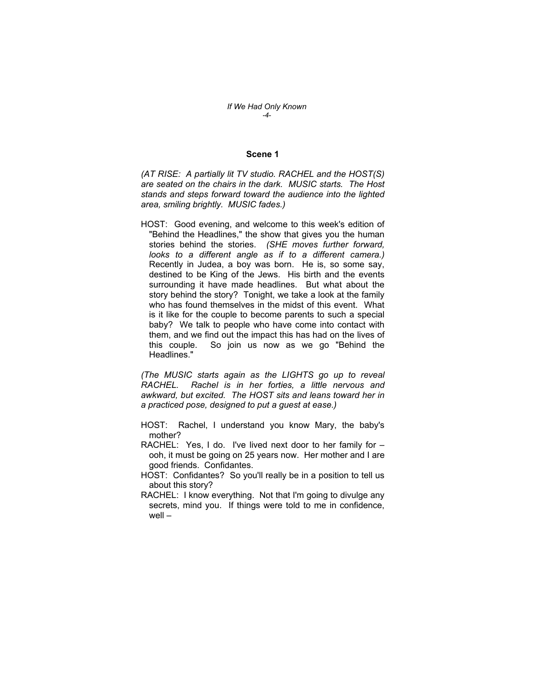#### **Scene 1**

*(AT RISE: A partially lit TV studio. RACHEL and the HOST(S) are seated on the chairs in the dark. MUSIC starts. The Host stands and steps forward toward the audience into the lighted area, smiling brightly. MUSIC fades.)* 

HOST: Good evening, and welcome to this week's edition of "Behind the Headlines," the show that gives you the human stories behind the stories. *(SHE moves further forward, looks to a different angle as if to a different camera.)*  Recently in Judea, a boy was born. He is, so some say, destined to be King of the Jews. His birth and the events surrounding it have made headlines. But what about the story behind the story? Tonight, we take a look at the family who has found themselves in the midst of this event. What is it like for the couple to become parents to such a special baby? We talk to people who have come into contact with them, and we find out the impact this has had on the lives of this couple. So join us now as we go "Behind the Headlines."

*(The MUSIC starts again as the LIGHTS go up to reveal RACHEL. Rachel is in her forties, a little nervous and awkward, but excited. The HOST sits and leans toward her in a practiced pose, designed to put a guest at ease.)* 

- HOST: Rachel, I understand you know Mary, the baby's mother?
- RACHEL: Yes, I do. I've lived next door to her family for ooh, it must be going on 25 years now. Her mother and I are good friends. Confidantes.
- HOST: Confidantes? So you'll really be in a position to tell us about this story?
- RACHEL: I know everything. Not that I'm going to divulge any secrets, mind you. If things were told to me in confidence, well –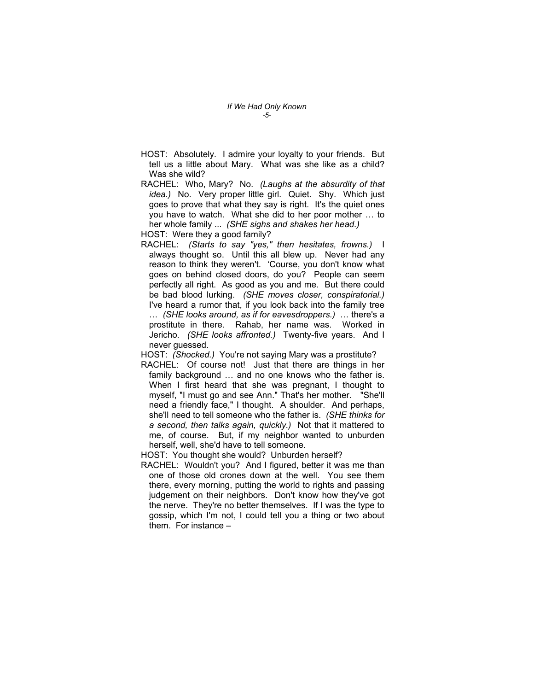- HOST: Absolutely. I admire your loyalty to your friends. But tell us a little about Mary. What was she like as a child? Was she wild?
- RACHEL: Who, Mary? No. *(Laughs at the absurdity of that idea.)* No. Very proper little girl. Quiet. Shy. Which just goes to prove that what they say is right. It's the quiet ones you have to watch. What she did to her poor mother … to her whole family ... *(SHE sighs and shakes her head.)*  HOST: Were they a good family?
- RACHEL: *(Starts to say "yes," then hesitates, frowns.)* I always thought so. Until this all blew up. Never had any reason to think they weren't. 'Course, you don't know what goes on behind closed doors, do you? People can seem perfectly all right. As good as you and me. But there could be bad blood lurking. *(SHE moves closer, conspiratorial.)* I've heard a rumor that, if you look back into the family tree
	- … *(SHE looks around, as if for eavesdroppers.)* … there's a prostitute in there. Rahab, her name was. Worked in Jericho. *(SHE looks affronted.)* Twenty-five years. And I never guessed.

HOST: *(Shocked.)* You're not saying Mary was a prostitute?

- RACHEL: Of course not! Just that there are things in her family background … and no one knows who the father is. When I first heard that she was pregnant, I thought to myself, "I must go and see Ann." That's her mother. "She'll need a friendly face," I thought. A shoulder. And perhaps, she'll need to tell someone who the father is. *(SHE thinks for a second, then talks again, quickly.)* Not that it mattered to me, of course. But, if my neighbor wanted to unburden herself, well, she'd have to tell someone.
- HOST: You thought she would? Unburden herself?
- RACHEL: Wouldn't you? And I figured, better it was me than one of those old crones down at the well. You see them there, every morning, putting the world to rights and passing judgement on their neighbors. Don't know how they've got the nerve. They're no better themselves. If I was the type to gossip, which I'm not, I could tell you a thing or two about them. For instance –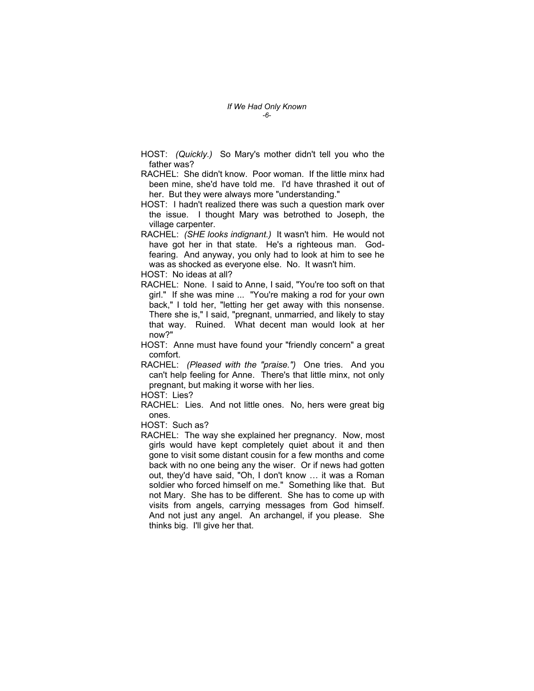- HOST: *(Quickly.)* So Mary's mother didn't tell you who the father was?
- RACHEL: She didn't know. Poor woman. If the little minx had been mine, she'd have told me. I'd have thrashed it out of her. But they were always more "understanding."
- HOST: I hadn't realized there was such a question mark over the issue. I thought Mary was betrothed to Joseph, the village carpenter.
- RACHEL: *(SHE looks indignant.)* It wasn't him. He would not have got her in that state. He's a righteous man. Godfearing. And anyway, you only had to look at him to see he was as shocked as everyone else. No. It wasn't him.

HOST: No ideas at all?

- RACHEL: None. I said to Anne, I said, "You're too soft on that girl." If she was mine ... "You're making a rod for your own back," I told her, "letting her get away with this nonsense. There she is," I said, "pregnant, unmarried, and likely to stay that way. Ruined. What decent man would look at her now?"
- HOST: Anne must have found your "friendly concern" a great comfort.
- RACHEL: *(Pleased with the "praise.")* One tries. And you can't help feeling for Anne. There's that little minx, not only pregnant, but making it worse with her lies.
- HOST: Lies?
- RACHEL: Lies. And not little ones. No, hers were great big ones.
- HOST: Such as?
- RACHEL: The way she explained her pregnancy. Now, most girls would have kept completely quiet about it and then gone to visit some distant cousin for a few months and come back with no one being any the wiser. Or if news had gotten out, they'd have said, "Oh, I don't know … it was a Roman soldier who forced himself on me." Something like that. But not Mary. She has to be different. She has to come up with visits from angels, carrying messages from God himself. And not just any angel. An archangel, if you please. She thinks big. I'll give her that.